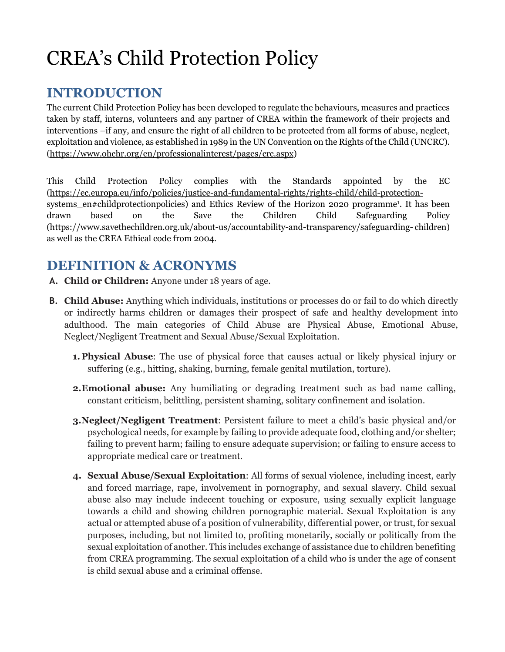# CREA's Child Protection Policy

# **INTRODUCTION**

The current Child Protection Policy has been developed to regulate the behaviours, measures and practices taken by staff, interns, volunteers and any partner of CREA within the framework of their projects and interventions –if any, and ensure the right of all children to be protected from all forms of abuse, neglect, exploitation and violence, as established in 1989 in the UN Convention on the Rights of the Child (UNCRC). (https://www.ohchr.org/en/professionalinterest/pages/crc.aspx)

This Child Protection Policy complies with the Standards appointed by the EC (https://ec.europa.eu/info/policies/justice-and-fundamental-rights/rights-child/child-protectionsystems en#childprotectionpolicies) and Ethics Review of the Horizon 2020 programme<sup>1</sup>. It has been drawn based on the Save the Children Child Safeguarding Policy (https://www.savethechildren.org.uk/about-us/accountability-and-transparency/safeguarding- children) as well as the CREA Ethical code from 2004.

# **DEFINITION & ACRONYMS**

- **A. Child or Children:** Anyone under 18 years of age.
- **B. Child Abuse:** Anything which individuals, institutions or processes do or fail to do which directly or indirectly harms children or damages their prospect of safe and healthy development into adulthood. The main categories of Child Abuse are Physical Abuse, Emotional Abuse, Neglect/Negligent Treatment and Sexual Abuse/Sexual Exploitation.
	- **1. Physical Abuse**: The use of physical force that causes actual or likely physical injury or suffering (e.g., hitting, shaking, burning, female genital mutilation, torture).
	- **2.Emotional abuse:** Any humiliating or degrading treatment such as bad name calling, constant criticism, belittling, persistent shaming, solitary confinement and isolation.
	- **3.Neglect/Negligent Treatment**: Persistent failure to meet a child's basic physical and/or psychological needs, for example by failing to provide adequate food, clothing and/or shelter; failing to prevent harm; failing to ensure adequate supervision; or failing to ensure access to appropriate medical care or treatment.
	- **4. Sexual Abuse/Sexual Exploitation**: All forms of sexual violence, including incest, early and forced marriage, rape, involvement in pornography, and sexual slavery. Child sexual abuse also may include indecent touching or exposure, using sexually explicit language towards a child and showing children pornographic material. Sexual Exploitation is any actual or attempted abuse of a position of vulnerability, differential power, or trust, for sexual purposes, including, but not limited to, profiting monetarily, socially or politically from the sexual exploitation of another. This includes exchange of assistance due to children benefiting from CREA programming. The sexual exploitation of a child who is under the age of consent is child sexual abuse and a criminal offense.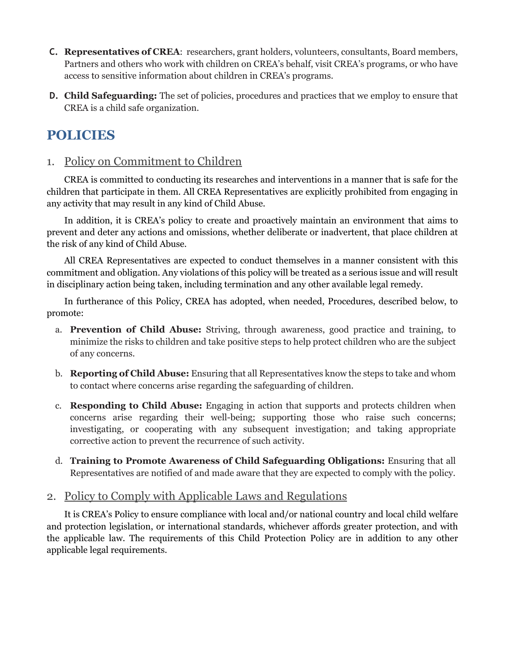- **C. Representatives of CREA**: researchers, grant holders, volunteers, consultants, Board members, Partners and others who work with children on CREA's behalf, visit CREA's programs, or who have access to sensitive information about children in CREA's programs.
- **D. Child Safeguarding:** The set of policies, procedures and practices that we employ to ensure that CREA is a child safe organization.

# **POLICIES**

### 1. Policy on Commitment to Children

CREA is committed to conducting its researches and interventions in a manner that is safe for the children that participate in them. All CREA Representatives are explicitly prohibited from engaging in any activity that may result in any kind of Child Abuse.

In addition, it is CREA's policy to create and proactively maintain an environment that aims to prevent and deter any actions and omissions, whether deliberate or inadvertent, that place children at the risk of any kind of Child Abuse.

All CREA Representatives are expected to conduct themselves in a manner consistent with this commitment and obligation. Any violations of this policy will be treated as a serious issue and will result in disciplinary action being taken, including termination and any other available legal remedy.

In furtherance of this Policy, CREA has adopted, when needed, Procedures, described below, to promote:

- a. **Prevention of Child Abuse:** Striving, through awareness, good practice and training, to minimize the risks to children and take positive steps to help protect children who are the subject of any concerns.
- b. **Reporting of Child Abuse:** Ensuring that all Representatives know the steps to take and whom to contact where concerns arise regarding the safeguarding of children.
- c. **Responding to Child Abuse:** Engaging in action that supports and protects children when concerns arise regarding their well-being; supporting those who raise such concerns; investigating, or cooperating with any subsequent investigation; and taking appropriate corrective action to prevent the recurrence of such activity.
- d. **Training to Promote Awareness of Child Safeguarding Obligations:** Ensuring that all Representatives are notified of and made aware that they are expected to comply with the policy.

### 2. Policy to Comply with Applicable Laws and Regulations

It is CREA's Policy to ensure compliance with local and/or national country and local child welfare and protection legislation, or international standards, whichever affords greater protection, and with the applicable law. The requirements of this Child Protection Policy are in addition to any other applicable legal requirements.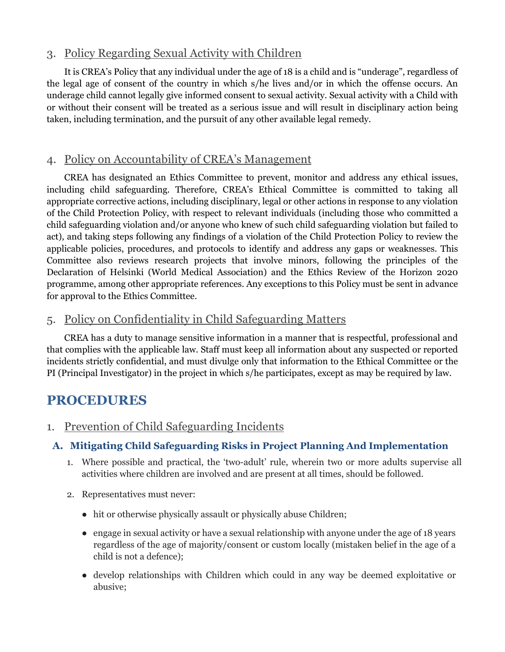### 3. Policy Regarding Sexual Activity with Children

It is CREA's Policy that any individual under the age of 18 is a child and is "underage", regardless of the legal age of consent of the country in which s/he lives and/or in which the offense occurs. An underage child cannot legally give informed consent to sexual activity. Sexual activity with a Child with or without their consent will be treated as a serious issue and will result in disciplinary action being taken, including termination, and the pursuit of any other available legal remedy.

### 4. Policy on Accountability of CREA's Management

CREA has designated an Ethics Committee to prevent, monitor and address any ethical issues, including child safeguarding. Therefore, CREA's Ethical Committee is committed to taking all appropriate corrective actions, including disciplinary, legal or other actions in response to any violation of the Child Protection Policy, with respect to relevant individuals (including those who committed a child safeguarding violation and/or anyone who knew of such child safeguarding violation but failed to act), and taking steps following any findings of a violation of the Child Protection Policy to review the applicable policies, procedures, and protocols to identify and address any gaps or weaknesses. This Committee also reviews research projects that involve minors, following the principles of the Declaration of Helsinki (World Medical Association) and the Ethics Review of the Horizon 2020 programme, among other appropriate references. Any exceptions to this Policy must be sent in advance for approval to the Ethics Committee.

# 5. Policy on Confidentiality in Child Safeguarding Matters

CREA has a duty to manage sensitive information in a manner that is respectful, professional and that complies with the applicable law. Staff must keep all information about any suspected or reported incidents strictly confidential, and must divulge only that information to the Ethical Committee or the PI (Principal Investigator) in the project in which s/he participates, except as may be required by law.

# **PROCEDURES**

1. Prevention of Child Safeguarding Incidents

# **A. Mitigating Child Safeguarding Risks in Project Planning And Implementation**

- 1. Where possible and practical, the 'two-adult' rule, wherein two or more adults supervise all activities where children are involved and are present at all times, should be followed.
- 2. Representatives must never:
	- hit or otherwise physically assault or physically abuse Children;
	- engage in sexual activity or have a sexual relationship with anyone under the age of 18 years regardless of the age of majority/consent or custom locally (mistaken belief in the age of a child is not a defence);
	- develop relationships with Children which could in any way be deemed exploitative or abusive;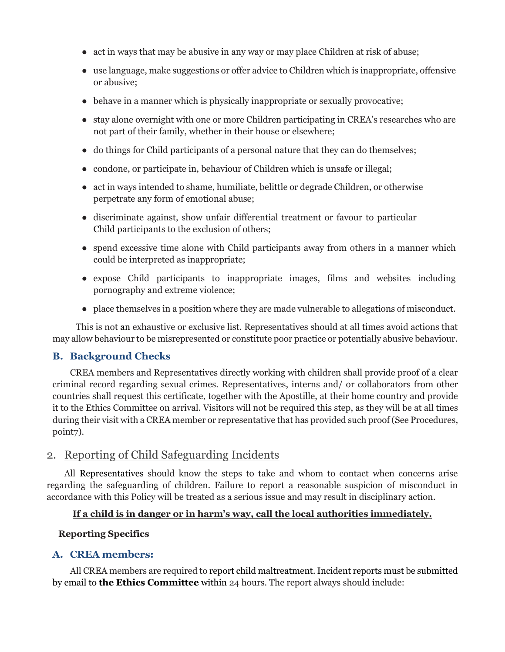- act in ways that may be abusive in any way or may place Children at risk of abuse;
- use language, make suggestions or offer advice to Children which is inappropriate, offensive or abusive;
- behave in a manner which is physically inappropriate or sexually provocative;
- stay alone overnight with one or more Children participating in CREA's researches who are not part of their family, whether in their house or elsewhere;
- do things for Child participants of a personal nature that they can do themselves;
- condone, or participate in, behaviour of Children which is unsafe or illegal;
- act in ways intended to shame, humiliate, belittle or degrade Children, or otherwise perpetrate any form of emotional abuse;
- discriminate against, show unfair differential treatment or favour to particular Child participants to the exclusion of others;
- spend excessive time alone with Child participants away from others in a manner which could be interpreted as inappropriate;
- expose Child participants to inappropriate images, films and websites including pornography and extreme violence;
- place themselves in a position where they are made vulnerable to allegations of misconduct.

This is not an exhaustive or exclusive list. Representatives should at all times avoid actions that may allow behaviour to be misrepresented or constitute poor practice or potentially abusive behaviour.

#### **B. Background Checks**

CREA members and Representatives directly working with children shall provide proof of a clear criminal record regarding sexual crimes. Representatives, interns and/ or collaborators from other countries shall request this certificate, together with the Apostille, at their home country and provide it to the Ethics Committee on arrival. Visitors will not be required this step, as they will be at all times during their visit with a CREA member or representative that has provided such proof (See Procedures, point7).

### 2. Reporting of Child Safeguarding Incidents

All Representatives should know the steps to take and whom to contact when concerns arise regarding the safeguarding of children. Failure to report a reasonable suspicion of misconduct in accordance with this Policy will be treated as a serious issue and may result in disciplinary action.

#### **If a child is in danger or in harm's way, call the local authorities immediately.**

#### **Reporting Specifics**

#### **A. CREA members:**

All CREA members are required to report child maltreatment. Incident reports must be submitted by email to **the Ethics Committee** within 24 hours. The report always should include: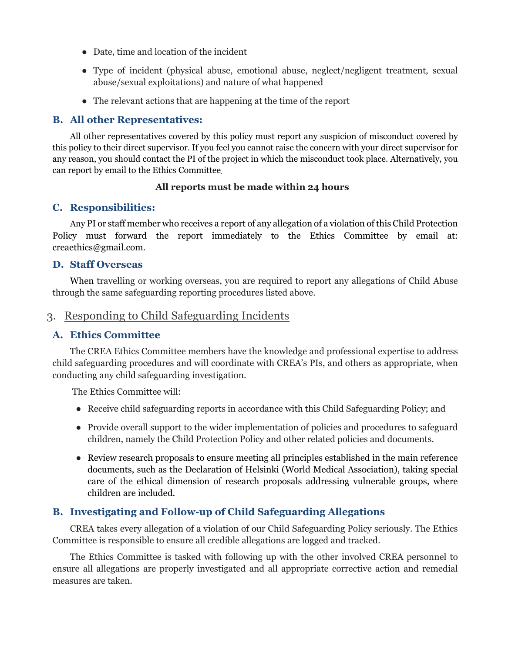- Date, time and location of the incident
- Type of incident (physical abuse, emotional abuse, neglect/negligent treatment, sexual abuse/sexual exploitations) and nature of what happened
- The relevant actions that are happening at the time of the report

#### **B. All other Representatives:**

All other representatives covered by this policy must report any suspicion of misconduct covered by this policy to their direct supervisor. If you feel you cannot raise the concern with your direct supervisor for any reason, you should contact the PI of the project in which the misconduct took place. Alternatively, you can report by email to the Ethics Committee.

#### **All reports must be made within 24 hours**

#### **C. Responsibilities:**

Any PI or staff member who receives a report of any allegation of a violation of this Child Protection Policy must forward the report immediately to the Ethics Committee by email at: creaethics@gmail.com.

#### **D. Staff Overseas**

When travelling or working overseas, you are required to report any allegations of Child Abuse through the same safeguarding reporting procedures listed above.

### 3. Responding to Child Safeguarding Incidents

#### **A. Ethics Committee**

The CREA Ethics Committee members have the knowledge and professional expertise to address child safeguarding procedures and will coordinate with CREA's PIs, and others as appropriate, when conducting any child safeguarding investigation.

The Ethics Committee will:

- Receive child safeguarding reports in accordance with this Child Safeguarding Policy; and
- Provide overall support to the wider implementation of policies and procedures to safeguard children, namely the Child Protection Policy and other related policies and documents.
- Review research proposals to ensure meeting all principles established in the main reference documents, such as the Declaration of Helsinki (World Medical Association), taking special care of the ethical dimension of research proposals addressing vulnerable groups, where children are included.

### **B. Investigating and Follow-up of Child Safeguarding Allegations**

CREA takes every allegation of a violation of our Child Safeguarding Policy seriously. The Ethics Committee is responsible to ensure all credible allegations are logged and tracked.

The Ethics Committee is tasked with following up with the other involved CREA personnel to ensure all allegations are properly investigated and all appropriate corrective action and remedial measures are taken.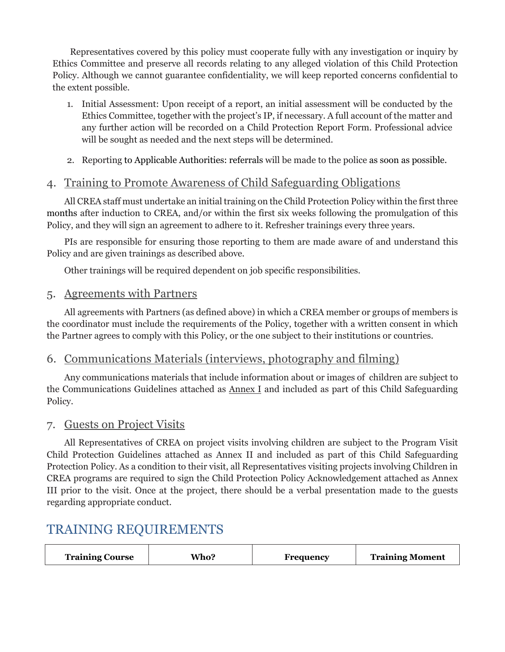Representatives covered by this policy must cooperate fully with any investigation or inquiry by Ethics Committee and preserve all records relating to any alleged violation of this Child Protection Policy. Although we cannot guarantee confidentiality, we will keep reported concerns confidential to the extent possible.

- 1. Initial Assessment: Upon receipt of a report, an initial assessment will be conducted by the Ethics Committee, together with the project's IP, if necessary. A full account of the matter and any further action will be recorded on a Child Protection Report Form. Professional advice will be sought as needed and the next steps will be determined.
- 2. Reporting to Applicable Authorities: referrals will be made to the police as soon as possible.

# 4. Training to Promote Awareness of Child Safeguarding Obligations

All CREA staff must undertake an initial training on the Child Protection Policy within the first three months after induction to CREA, and/or within the first six weeks following the promulgation of this Policy, and they will sign an agreement to adhere to it. Refresher trainings every three years.

PIs are responsible for ensuring those reporting to them are made aware of and understand this Policy and are given trainings as described above.

Other trainings will be required dependent on job specific responsibilities.

### 5. Agreements with Partners

All agreements with Partners (as defined above) in which a CREA member or groups of members is the coordinator must include the requirements of the Policy, together with a written consent in which the Partner agrees to comply with this Policy, or the one subject to their institutions or countries.

### 6. Communications Materials (interviews, photography and filming)

Any communications materials that include information about or images of children are subject to the Communications Guidelines attached as  $\Delta$ nnex I and included as part of this Child Safeguarding Policy.

### 7. Guests on Project Visits

All Representatives of CREA on project visits involving children are subject to the Program Visit Child Protection Guidelines attached as Annex II and included as part of this Child Safeguarding Protection Policy. As a condition to their visit, all Representatives visiting projects involving Children in CREA programs are required to sign the Child Protection Policy Acknowledgement attached as Annex III prior to the visit. Once at the project, there should be a verbal presentation made to the guests regarding appropriate conduct.

# TRAINING REQUIREMENTS

| <b>Training Course</b><br>Who? | Frequency | <b>Training Moment</b> |
|--------------------------------|-----------|------------------------|
|--------------------------------|-----------|------------------------|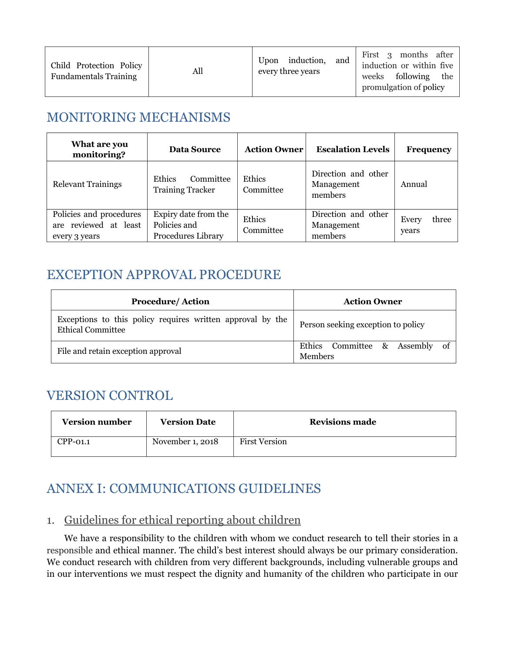| Child Protection Policy<br><b>Fundamentals Training</b> | All | Upon induction,<br>and<br>every three years | First 3 months after<br>induction or within five<br>weeks following the<br>promulgation of policy |
|---------------------------------------------------------|-----|---------------------------------------------|---------------------------------------------------------------------------------------------------|
|---------------------------------------------------------|-----|---------------------------------------------|---------------------------------------------------------------------------------------------------|

# MONITORING MECHANISMS

| What are you<br>monitoring?                                       | Data Source                                                | <b>Action Owner</b> | <b>Escalation Levels</b>                     | <b>Frequency</b>        |
|-------------------------------------------------------------------|------------------------------------------------------------|---------------------|----------------------------------------------|-------------------------|
| <b>Relevant Trainings</b>                                         | <b>Ethics</b><br>Committee<br><b>Training Tracker</b>      | Ethics<br>Committee | Direction and other<br>Management<br>members | Annual                  |
| Policies and procedures<br>are reviewed at least<br>every 3 years | Expiry date from the<br>Policies and<br>Procedures Library | Ethics<br>Committee | Direction and other<br>Management<br>members | three<br>Every<br>years |

# EXCEPTION APPROVAL PROCEDURE

| <b>Procedure/Action</b>                                                                | <b>Action Owner</b>                              |  |
|----------------------------------------------------------------------------------------|--------------------------------------------------|--|
| Exceptions to this policy requires written approval by the<br><b>Ethical Committee</b> | Person seeking exception to policy               |  |
| File and retain exception approval                                                     | Ethics Committee & Assembly of<br><b>Members</b> |  |

# VERSION CONTROL

| <b>Version number</b> | <b>Version Date</b> | <b>Revisions made</b> |
|-----------------------|---------------------|-----------------------|
| $CPP-01.1$            | November 1, 2018    | <b>First Version</b>  |

# ANNEX I: COMMUNICATIONS GUIDELINES

# 1. Guidelines for ethical reporting about children

We have a responsibility to the children with whom we conduct research to tell their stories in a responsible and ethical manner. The child's best interest should always be our primary consideration. We conduct research with children from very different backgrounds, including vulnerable groups and in our interventions we must respect the dignity and humanity of the children who participate in our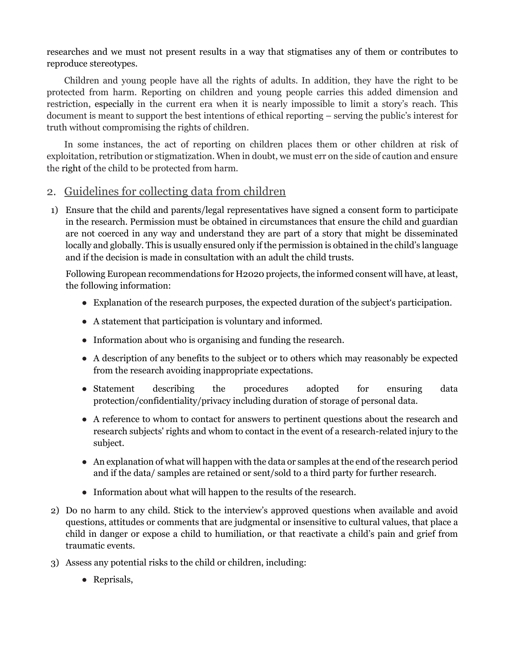researches and we must not present results in a way that stigmatises any of them or contributes to reproduce stereotypes.

Children and young people have all the rights of adults. In addition, they have the right to be protected from harm. Reporting on children and young people carries this added dimension and restriction, especially in the current era when it is nearly impossible to limit a story's reach. This document is meant to support the best intentions of ethical reporting – serving the public's interest for truth without compromising the rights of children.

In some instances, the act of reporting on children places them or other children at risk of exploitation, retribution or stigmatization. When in doubt, we must err on the side of caution and ensure the right of the child to be protected from harm.

### 2. Guidelines for collecting data from children

1) Ensure that the child and parents/legal representatives have signed a consent form to participate in the research. Permission must be obtained in circumstances that ensure the child and guardian are not coerced in any way and understand they are part of a story that might be disseminated locally and globally. This is usually ensured only if the permission is obtained in the child's language and if the decision is made in consultation with an adult the child trusts.

Following European recommendations for H2020 projects, the informed consent will have, at least, the following information:

- Explanation of the research purposes, the expected duration of the subject's participation.
- A statement that participation is voluntary and informed.
- Information about who is organising and funding the research.
- A description of any benefits to the subject or to others which may reasonably be expected from the research avoiding inappropriate expectations.
- Statement describing the procedures adopted for ensuring data protection/confidentiality/privacy including duration of storage of personal data.
- A reference to whom to contact for answers to pertinent questions about the research and research subjects' rights and whom to contact in the event of a research-related injury to the subject.
- An explanation of what will happen with the data or samples at the end of the research period and if the data/ samples are retained or sent/sold to a third party for further research.
- Information about what will happen to the results of the research.
- 2) Do no harm to any child. Stick to the interview's approved questions when available and avoid questions, attitudes or comments that are judgmental or insensitive to cultural values, that place a child in danger or expose a child to humiliation, or that reactivate a child's pain and grief from traumatic events.
- 3) Assess any potential risks to the child or children, including:
	- Reprisals,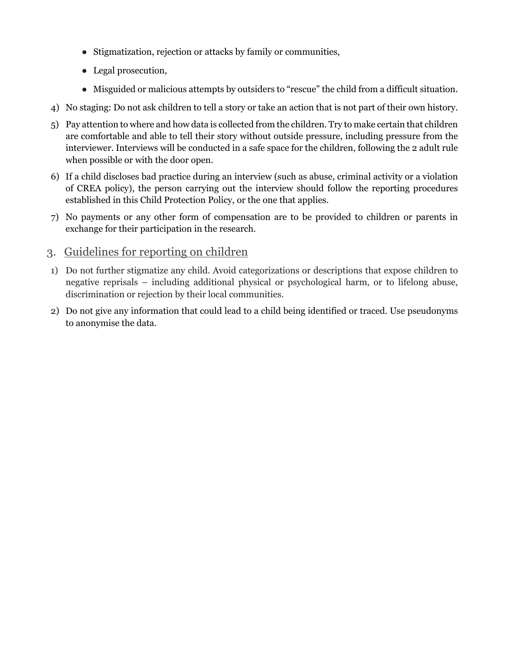- Stigmatization, rejection or attacks by family or communities,
- Legal prosecution,
- Misguided or malicious attempts by outsiders to "rescue" the child from a difficult situation.
- 4) No staging: Do not ask children to tell a story or take an action that is not part of their own history.
- 5) Pay attention to where and how data is collected from the children. Try to make certain that children are comfortable and able to tell their story without outside pressure, including pressure from the interviewer. Interviews will be conducted in a safe space for the children, following the 2 adult rule when possible or with the door open.
- 6) If a child discloses bad practice during an interview (such as abuse, criminal activity or a violation of CREA policy), the person carrying out the interview should follow the reporting procedures established in this Child Protection Policy, or the one that applies.
- 7) No payments or any other form of compensation are to be provided to children or parents in exchange for their participation in the research.

### 3. Guidelines for reporting on children

- 1) Do not further stigmatize any child. Avoid categorizations or descriptions that expose children to negative reprisals – including additional physical or psychological harm, or to lifelong abuse, discrimination or rejection by their local communities.
- 2) Do not give any information that could lead to a child being identified or traced. Use pseudonyms to anonymise the data.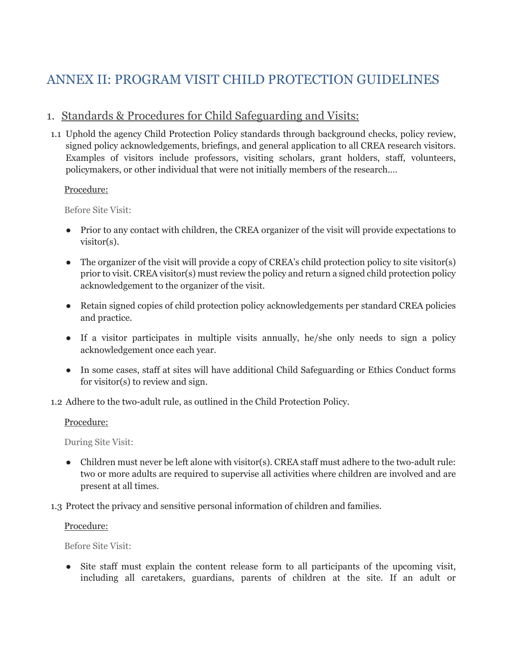# ANNEX II: PROGRAM VISIT CHILD PROTECTION GUIDELINES

# 1. Standards & Procedures for Child Safeguarding and Visits:

1.1 Uphold the agency Child Protection Policy standards through background checks, policy review, signed policy acknowledgements, briefings, and general application to all CREA research visitors. Examples of visitors include professors, visiting scholars, grant holders, staff, volunteers, policymakers, or other individual that were not initially members of the research.…

#### Procedure:

Before Site Visit:

- Prior to any contact with children, the CREA organizer of the visit will provide expectations to visitor(s).
- The organizer of the visit will provide a copy of CREA's child protection policy to site visitor(s) prior to visit. CREA visitor(s) must review the policy and return a signed child protection policy acknowledgement to the organizer of the visit.
- Retain signed copies of child protection policy acknowledgements per standard CREA policies and practice.
- If a visitor participates in multiple visits annually, he/she only needs to sign a policy acknowledgement once each year.
- In some cases, staff at sites will have additional Child Safeguarding or Ethics Conduct forms for visitor(s) to review and sign.
- 1.2 Adhere to the two-adult rule, as outlined in the Child Protection Policy.

#### Procedure:

During Site Visit:

- Children must never be left alone with visitor(s). CREA staff must adhere to the two-adult rule: two or more adults are required to supervise all activities where children are involved and are present at all times.
- 1.3 Protect the privacy and sensitive personal information of children and families.

#### Procedure:

Before Site Visit:

• Site staff must explain the content release form to all participants of the upcoming visit, including all caretakers, guardians, parents of children at the site. If an adult or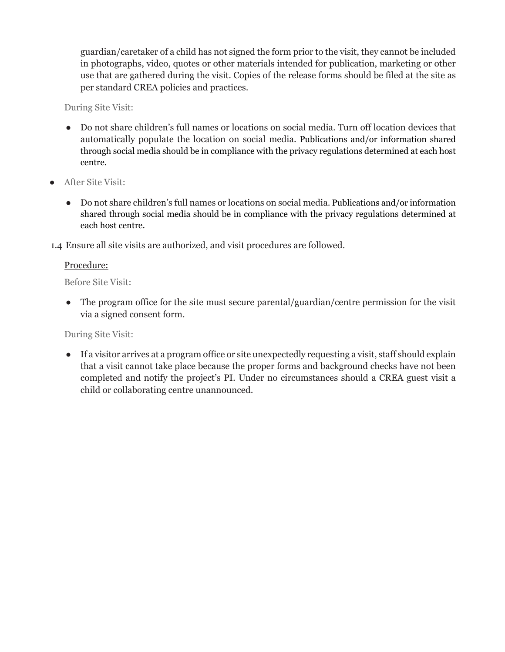guardian/caretaker of a child has not signed the form prior to the visit, they cannot be included in photographs, video, quotes or other materials intended for publication, marketing or other use that are gathered during the visit. Copies of the release forms should be filed at the site as per standard CREA policies and practices.

During Site Visit:

- Do not share children's full names or locations on social media. Turn off location devices that automatically populate the location on social media. Publications and/or information shared through social media should be in compliance with the privacy regulations determined at each host centre.
- After Site Visit:
	- Do not share children's full names or locations on social media. Publications and/or information shared through social media should be in compliance with the privacy regulations determined at each host centre.
- 1.4 Ensure all site visits are authorized, and visit procedures are followed.

#### Procedure:

Before Site Visit:

• The program office for the site must secure parental/guardian/centre permission for the visit via a signed consent form.

During Site Visit:

● If a visitor arrives at a program office or site unexpectedly requesting a visit, staff should explain that a visit cannot take place because the proper forms and background checks have not been completed and notify the project's PI. Under no circumstances should a CREA guest visit a child or collaborating centre unannounced.